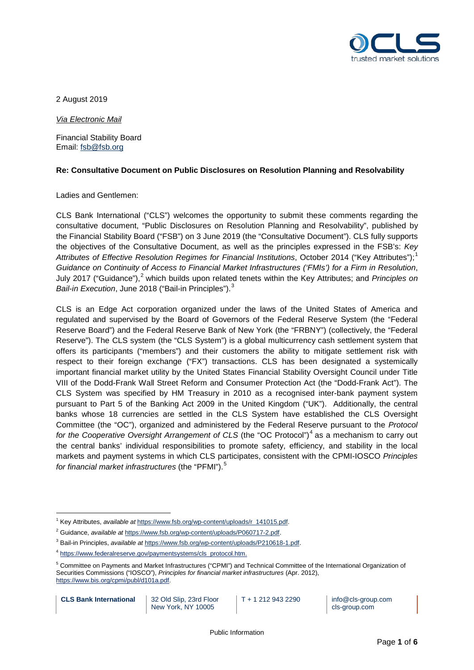

2 August 2019

*Via Electronic Mail*

Financial Stability Board Email: [fsb@fsb.org](mailto:fsb@fsb.org)

#### **Re: Consultative Document on Public Disclosures on Resolution Planning and Resolvability**

#### Ladies and Gentlemen:

CLS Bank International ("CLS") welcomes the opportunity to submit these comments regarding the consultative document, "Public Disclosures on Resolution Planning and Resolvability", published by the Financial Stability Board ("FSB") on 3 June 2019 (the "Consultative Document"). CLS fully supports the objectives of the Consultative Document, as well as the principles expressed in the FSB's: *Key Attributes of Effective Resolution Regimes for Financial Institutions*, October 2014 ("Key Attributes"); [1](#page-0-0) *Guidance on Continuity of Access to Financial Market Infrastructures ('FMIs') for a Firm in Resolution*, July [2](#page-0-1)017 ("Guidance"),<sup>2</sup> which builds upon related tenets within the Key Attributes; and *Principles on Bail-in Execution*, June 2018 ("Bail-in Principles"). [3](#page-0-2)

CLS is an Edge Act corporation organized under the laws of the United States of America and regulated and supervised by the Board of Governors of the Federal Reserve System (the "Federal Reserve Board") and the Federal Reserve Bank of New York (the "FRBNY") (collectively, the "Federal Reserve"). The CLS system (the "CLS System") is a global multicurrency cash settlement system that offers its participants ("members") and their customers the ability to mitigate settlement risk with respect to their foreign exchange ("FX") transactions. CLS has been designated a systemically important financial market utility by the United States Financial Stability Oversight Council under Title VIII of the Dodd-Frank Wall Street Reform and Consumer Protection Act (the "Dodd-Frank Act"). The CLS System was specified by HM Treasury in 2010 as a recognised inter-bank payment system pursuant to Part 5 of the Banking Act 2009 in the United Kingdom ("UK"). Additionally, the central banks whose 18 currencies are settled in the CLS System have established the CLS Oversight Committee (the "OC"), organized and administered by the Federal Reserve pursuant to the *Protocol for the Cooperative Oversight Arrangement of CLS* (the "OC Protocol")<sup>[4](#page-0-3)</sup> as a mechanism to carry out the central banks' individual responsibilities to promote safety, efficiency, and stability in the local markets and payment systems in which CLS participates, consistent with the CPMI-IOSCO *Principles for financial market infrastructures* (the "PFMI").[5](#page-0-4)

```
CLS Bank International 32 Old Slip, 23rd Floor
```

```
New York, NY 10005
```
T + 1 212 943 2290 | info@cls-group.com cls-group.com

<span id="page-0-0"></span> <sup>1</sup> Key Attributes, *available at* [https://www.fsb.org/wp-content/uploads/r\\_141015.pdf.](https://www.fsb.org/wp-content/uploads/r_141015.pdf)

<span id="page-0-1"></span><sup>2</sup> Guidance, *available at* [https://www.fsb.org/wp-content/uploads/P060717-2.pdf.](https://www.fsb.org/wp-content/uploads/P060717-2.pdf) 

<span id="page-0-2"></span><sup>3</sup> Bail-in Principles, *available at* [https://www.fsb.org/wp-content/uploads/P210618-1.pdf.](https://www.fsb.org/wp-content/uploads/P210618-1.pdf)

<span id="page-0-3"></span><sup>4</sup> [https://www.federalreserve.gov/paymentsystems/cls\\_protocol.htm.](https://www.federalreserve.gov/paymentsystems/cls_protocol.htm)

<span id="page-0-4"></span><sup>5</sup> Committee on Payments and Market Infrastructures ("CPMI") and Technical Committee of the International Organization of Securities Commissions ("IOSCO"), *Principles for financial market infrastructures* (Apr. 2012), [https://www.bis.org/cpmi/publ/d101a.pdf.](https://www.bis.org/cpmi/publ/d101a.pdf)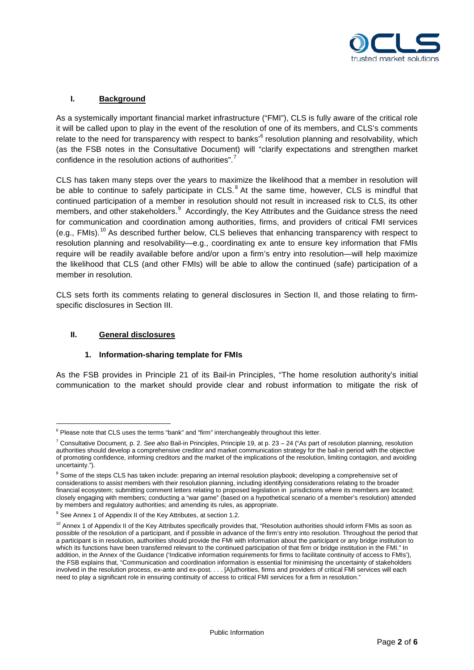

# **I. Background**

As a systemically important financial market infrastructure ("FMI"), CLS is fully aware of the critical role it will be called upon to play in the event of the resolution of one of its members, and CLS's comments relate to the need for transparency with respect to banks<sup>,[6](#page-1-0)</sup> resolution planning and resolvability, which (as the FSB notes in the Consultative Document) will "clarify expectations and strengthen market confidence in the resolution actions of authorities".<sup>[7](#page-1-1)</sup>

CLS has taken many steps over the years to maximize the likelihood that a member in resolution will be able to continue to safely participate in CLS.<sup>[8](#page-1-2)</sup> At the same time, however, CLS is mindful that continued participation of a member in resolution should not result in increased risk to CLS, its other members, and other stakeholders.<sup>[9](#page-1-3)</sup> Accordingly, the Key Attributes and the Guidance stress the need for communication and coordination among authorities, firms, and providers of critical FMI services (e.g., FMIs).<sup>[10](#page-1-4)</sup> As described further below, CLS believes that enhancing transparency with respect to resolution planning and resolvability—e.g., coordinating ex ante to ensure key information that FMIs require will be readily available before and/or upon a firm's entry into resolution—will help maximize the likelihood that CLS (and other FMIs) will be able to allow the continued (safe) participation of a member in resolution.

CLS sets forth its comments relating to general disclosures in Section II, and those relating to firmspecific disclosures in Section III.

#### **II. General disclosures**

## **1. Information-sharing template for FMIs**

As the FSB provides in Principle 21 of its Bail-in Principles, "The home resolution authority's initial communication to the market should provide clear and robust information to mitigate the risk of

<span id="page-1-0"></span><sup>&</sup>lt;sup>6</sup> Please note that CLS uses the terms "bank" and "firm" interchangeably throughout this letter.

<span id="page-1-1"></span><sup>7</sup> Consultative Document, p. 2. *See also* Bail-in Principles, Principle 19, at p. 23 – 24 ("As part of resolution planning, resolution authorities should develop a comprehensive creditor and market communication strategy for the bail-in period with the objective of promoting confidence, informing creditors and the market of the implications of the resolution, limiting contagion, and avoiding uncertainty.").

<span id="page-1-2"></span><sup>&</sup>lt;sup>8</sup> Some of the steps CLS has taken include: preparing an internal resolution playbook; developing a comprehensive set of considerations to assist members with their resolution planning, including identifying considerations relating to the broader financial ecosystem; submitting comment letters relating to proposed legislation in jurisdictions where its members are located; closely engaging with members; conducting a "war game" (based on a hypothetical scenario of a member's resolution) attended by members and regulatory authorities; and amending its rules, as appropriate.

<span id="page-1-3"></span><sup>&</sup>lt;sup>9</sup> See Annex 1 of Appendix II of the Key Attributes, at section 1.2.

<span id="page-1-4"></span> $10$  Annex 1 of Appendix II of the Key Attributes specifically provides that, "Resolution authorities should inform FMIs as soon as possible of the resolution of a participant, and if possible in advance of the firm's entry into resolution. Throughout the period that a participant is in resolution, authorities should provide the FMI with information about the participant or any bridge institution to which its functions have been transferred relevant to the continued participation of that firm or bridge institution in the FMI." In addition, in the Annex of the Guidance ('Indicative information requirements for firms to facilitate continuity of access to FMIs'), the FSB explains that, "Communication and coordination information is essential for minimising the uncertainty of stakeholders involved in the resolution process, ex-ante and ex-post. . . . [A]uthorities, firms and providers of critical FMI services will each need to play a significant role in ensuring continuity of access to critical FMI services for a firm in resolution."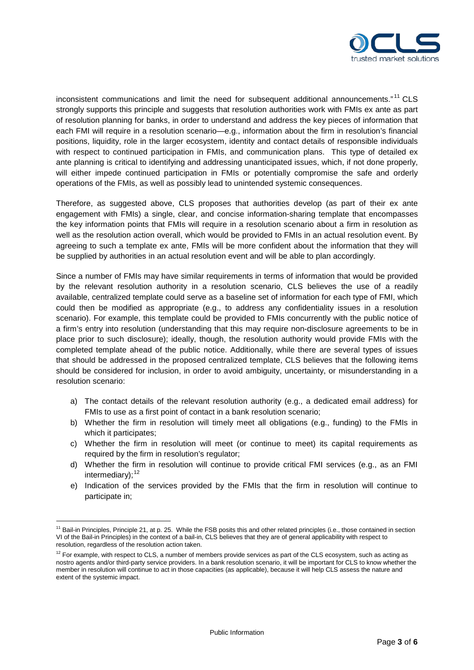

inconsistent communications and limit the need for subsequent additional announcements."<sup>[11](#page-2-0)</sup> CLS strongly supports this principle and suggests that resolution authorities work with FMIs ex ante as part of resolution planning for banks, in order to understand and address the key pieces of information that each FMI will require in a resolution scenario—e.g., information about the firm in resolution's financial positions, liquidity, role in the larger ecosystem, identity and contact details of responsible individuals with respect to continued participation in FMIs, and communication plans. This type of detailed ex ante planning is critical to identifying and addressing unanticipated issues, which, if not done properly, will either impede continued participation in FMIs or potentially compromise the safe and orderly operations of the FMIs, as well as possibly lead to unintended systemic consequences.

Therefore, as suggested above, CLS proposes that authorities develop (as part of their ex ante engagement with FMIs) a single, clear, and concise information-sharing template that encompasses the key information points that FMIs will require in a resolution scenario about a firm in resolution as well as the resolution action overall, which would be provided to FMIs in an actual resolution event. By agreeing to such a template ex ante, FMIs will be more confident about the information that they will be supplied by authorities in an actual resolution event and will be able to plan accordingly.

Since a number of FMIs may have similar requirements in terms of information that would be provided by the relevant resolution authority in a resolution scenario, CLS believes the use of a readily available, centralized template could serve as a baseline set of information for each type of FMI, which could then be modified as appropriate (e.g., to address any confidentiality issues in a resolution scenario). For example, this template could be provided to FMIs concurrently with the public notice of a firm's entry into resolution (understanding that this may require non-disclosure agreements to be in place prior to such disclosure); ideally, though, the resolution authority would provide FMIs with the completed template ahead of the public notice. Additionally, while there are several types of issues that should be addressed in the proposed centralized template, CLS believes that the following items should be considered for inclusion, in order to avoid ambiguity, uncertainty, or misunderstanding in a resolution scenario:

- a) The contact details of the relevant resolution authority (e.g., a dedicated email address) for FMIs to use as a first point of contact in a bank resolution scenario;
- b) Whether the firm in resolution will timely meet all obligations (e.g., funding) to the FMIs in which it participates:
- c) Whether the firm in resolution will meet (or continue to meet) its capital requirements as required by the firm in resolution's regulator;
- d) Whether the firm in resolution will continue to provide critical FMI services (e.g., as an FMI  $intermediary$ ); $12$
- e) Indication of the services provided by the FMIs that the firm in resolution will continue to participate in;

<span id="page-2-0"></span><sup>&</sup>lt;sup>11</sup> Bail-in Principles, Principle 21, at p. 25. While the FSB posits this and other related principles (i.e., those contained in section VI of the Bail-in Principles) in the context of a bail-in, CLS believes that they are of general applicability with respect to resolution, regardless of the resolution action taken.

<span id="page-2-1"></span> $12$  For example, with respect to CLS, a number of members provide services as part of the CLS ecosystem, such as acting as nostro agents and/or third-party service providers. In a bank resolution scenario, it will be important for CLS to know whether the member in resolution will continue to act in those capacities (as applicable), because it will help CLS assess the nature and extent of the systemic impact.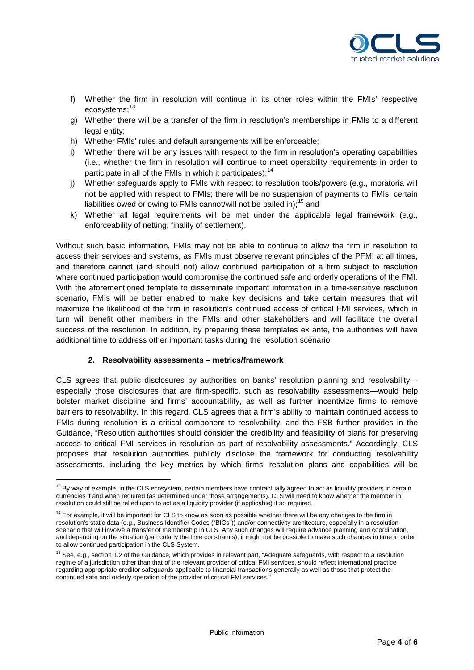

- f) Whether the firm in resolution will continue in its other roles within the FMIs' respective ecosystems:<sup>[13](#page-3-0)</sup>
- g) Whether there will be a transfer of the firm in resolution's memberships in FMIs to a different legal entity;
- h) Whether FMIs' rules and default arrangements will be enforceable;
- i) Whether there will be any issues with respect to the firm in resolution's operating capabilities (i.e., whether the firm in resolution will continue to meet operability requirements in order to participate in all of the FMIs in which it participates);<sup>[14](#page-3-1)</sup>
- j) Whether safeguards apply to FMIs with respect to resolution tools/powers (e.g., moratoria will not be applied with respect to FMIs; there will be no suspension of payments to FMIs; certain liabilities owed or owing to FMIs cannot/will not be bailed in);  $^{15}$  $^{15}$  $^{15}$  and
- k) Whether all legal requirements will be met under the applicable legal framework (e.g., enforceability of netting, finality of settlement).

Without such basic information, FMIs may not be able to continue to allow the firm in resolution to access their services and systems, as FMIs must observe relevant principles of the PFMI at all times, and therefore cannot (and should not) allow continued participation of a firm subject to resolution where continued participation would compromise the continued safe and orderly operations of the FMI. With the aforementioned template to disseminate important information in a time-sensitive resolution scenario, FMIs will be better enabled to make key decisions and take certain measures that will maximize the likelihood of the firm in resolution's continued access of critical FMI services, which in turn will benefit other members in the FMIs and other stakeholders and will facilitate the overall success of the resolution. In addition, by preparing these templates ex ante, the authorities will have additional time to address other important tasks during the resolution scenario.

## **2. Resolvability assessments – metrics/framework**

CLS agrees that public disclosures by authorities on banks' resolution planning and resolvability especially those disclosures that are firm-specific, such as resolvability assessments—would help bolster market discipline and firms' accountability, as well as further incentivize firms to remove barriers to resolvability. In this regard, CLS agrees that a firm's ability to maintain continued access to FMIs during resolution is a critical component to resolvability, and the FSB further provides in the Guidance, "Resolution authorities should consider the credibility and feasibility of plans for preserving access to critical FMI services in resolution as part of resolvability assessments." Accordingly, CLS proposes that resolution authorities publicly disclose the framework for conducting resolvability assessments, including the key metrics by which firms' resolution plans and capabilities will be

<span id="page-3-0"></span><sup>&</sup>lt;sup>13</sup> By way of example, in the CLS ecosystem, certain members have contractually agreed to act as liquidity providers in certain currencies if and when required (as determined under those arrangements). CLS will need to know whether the member in resolution could still be relied upon to act as a liquidity provider (if applicable) if so required.

<span id="page-3-1"></span> $14$  For example, it will be important for CLS to know as soon as possible whether there will be any changes to the firm in resolution's static data (e.g., Business Identifier Codes ("BICs")) and/or connectivity architecture, especially in a resolution scenario that will involve a transfer of membership in CLS. Any such changes will require advance planning and coordination, and depending on the situation (particularly the time constraints), it might not be possible to make such changes in time in order to allow continued participation in the CLS System.

<span id="page-3-2"></span><sup>&</sup>lt;sup>15</sup> See, e.g., section 1.2 of the Guidance, which provides in relevant part, "Adequate safeguards, with respect to a resolution regime of a jurisdiction other than that of the relevant provider of critical FMI services, should reflect international practice regarding appropriate creditor safeguards applicable to financial transactions generally as well as those that protect the continued safe and orderly operation of the provider of critical FMI services."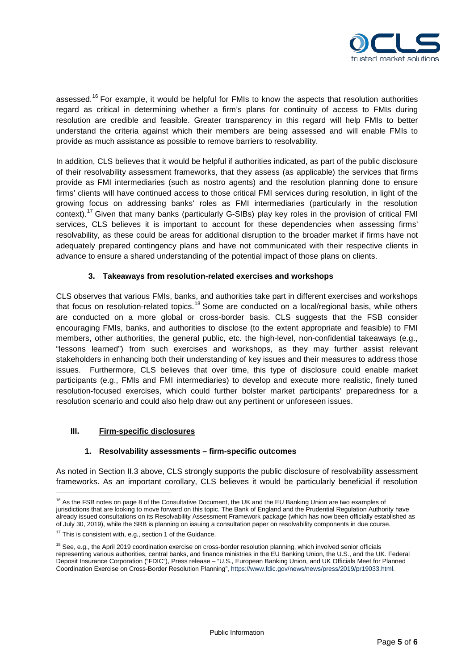

assessed.<sup>[16](#page-4-0)</sup> For example, it would be helpful for FMIs to know the aspects that resolution authorities regard as critical in determining whether a firm's plans for continuity of access to FMIs during resolution are credible and feasible. Greater transparency in this regard will help FMIs to better understand the criteria against which their members are being assessed and will enable FMIs to provide as much assistance as possible to remove barriers to resolvability.

In addition, CLS believes that it would be helpful if authorities indicated, as part of the public disclosure of their resolvability assessment frameworks, that they assess (as applicable) the services that firms provide as FMI intermediaries (such as nostro agents) and the resolution planning done to ensure firms' clients will have continued access to those critical FMI services during resolution, in light of the growing focus on addressing banks' roles as FMI intermediaries (particularly in the resolution context).<sup>[17](#page-4-1)</sup> Given that many banks (particularly G-SIBs) play key roles in the provision of critical FMI services, CLS believes it is important to account for these dependencies when assessing firms' resolvability, as these could be areas for additional disruption to the broader market if firms have not adequately prepared contingency plans and have not communicated with their respective clients in advance to ensure a shared understanding of the potential impact of those plans on clients.

## **3. Takeaways from resolution-related exercises and workshops**

CLS observes that various FMIs, banks, and authorities take part in different exercises and workshops that focus on resolution-related topics.<sup>[18](#page-4-2)</sup> Some are conducted on a local/regional basis, while others are conducted on a more global or cross-border basis. CLS suggests that the FSB consider encouraging FMIs, banks, and authorities to disclose (to the extent appropriate and feasible) to FMI members, other authorities, the general public, etc. the high-level, non-confidential takeaways (e.g., "lessons learned") from such exercises and workshops, as they may further assist relevant stakeholders in enhancing both their understanding of key issues and their measures to address those issues. Furthermore, CLS believes that over time, this type of disclosure could enable market participants (e.g., FMIs and FMI intermediaries) to develop and execute more realistic, finely tuned resolution-focused exercises, which could further bolster market participants' preparedness for a resolution scenario and could also help draw out any pertinent or unforeseen issues.

## **III. Firm-specific disclosures**

## **1. Resolvability assessments – firm-specific outcomes**

As noted in Section II.3 above, CLS strongly supports the public disclosure of resolvability assessment frameworks. As an important corollary, CLS believes it would be particularly beneficial if resolution

<span id="page-4-0"></span><sup>&</sup>lt;sup>16</sup> As the FSB notes on page 8 of the Consultative Document, the UK and the EU Banking Union are two examples of jurisdictions that are looking to move forward on this topic. The Bank of England and the Prudential Regulation Authority have already issued consultations on its Resolvability Assessment Framework package (which has now been officially established as of July 30, 2019), while the SRB is planning on issuing a consultation paper on resolvability components in due course.

<span id="page-4-1"></span> $17$  This is consistent with, e.g., section 1 of the Guidance.

<span id="page-4-2"></span><sup>&</sup>lt;sup>18</sup> See, e.g., the April 2019 coordination exercise on cross-border resolution planning, which involved senior officials representing various authorities, central banks, and finance ministries in the EU Banking Union, the U.S., and the UK. Federal Deposit Insurance Corporation ("FDIC"), Press release – "U.S., European Banking Union, and UK Officials Meet for Planned Coordination Exercise on Cross-Border Resolution Planning"[, https://www.fdic.gov/news/news/press/2019/pr19033.html.](https://www.fdic.gov/news/news/press/2019/pr19033.html)